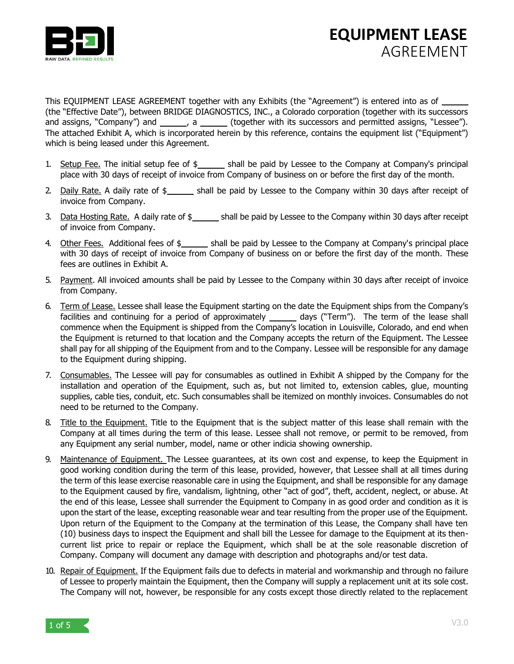

This EQUIPMENT LEASE AGREEMENT together with any Exhibits (the "Agreement") is entered into as of (the "Effective Date"), between BRIDGE DIAGNOSTICS, INC., a Colorado corporation (together with its successors and assigns, "Company") and \_\_\_\_\_\_, a \_\_\_\_\_\_ (together with its successors and permitted assigns, "Lessee"). The attached Exhibit A, which is incorporated herein by this reference, contains the equipment list ("Equipment") which is being leased under this Agreement.

- 1. Setup Fee. The initial setup fee of  $\frac{1}{2}$  shall be paid by Lessee to the Company at Company's principal place with 30 days of receipt of invoice from Company of business on or before the first day of the month.
- 2. Daily Rate. A daily rate of  $\frac{1}{2}$  shall be paid by Lessee to the Company within 30 days after receipt of invoice from Company.
- 3. Data Hosting Rate. A daily rate of \$\_\_\_\_\_\_ shall be paid by Lessee to the Company within 30 days after receipt of invoice from Company.
- 4. Other Fees. Additional fees of \$\_\_\_\_\_\_ shall be paid by Lessee to the Company at Company's principal place with 30 days of receipt of invoice from Company of business on or before the first day of the month. These fees are outlines in Exhibit A.
- 5. Payment. All invoiced amounts shall be paid by Lessee to the Company within 30 days after receipt of invoice from Company.
- 6. Term of Lease. Lessee shall lease the Equipment starting on the date the Equipment ships from the Company's facilities and continuing for a period of approximately \_\_\_\_\_\_\_ days ("Term"). The term of the lease shall commence when the Equipment is shipped from the Company's location in Louisville, Colorado, and end when the Equipment is returned to that location and the Company accepts the return of the Equipment. The Lessee shall pay for all shipping of the Equipment from and to the Company. Lessee will be responsible for any damage to the Equipment during shipping.
- 7. Consumables. The Lessee will pay for consumables as outlined in Exhibit A shipped by the Company for the installation and operation of the Equipment, such as, but not limited to, extension cables, glue, mounting supplies, cable ties, conduit, etc. Such consumables shall be itemized on monthly invoices. Consumables do not need to be returned to the Company.
- 8. Title to the Equipment. Title to the Equipment that is the subject matter of this lease shall remain with the Company at all times during the term of this lease. Lessee shall not remove, or permit to be removed, from any Equipment any serial number, model, name or other indicia showing ownership.
- 9. Maintenance of Equipment. The Lessee guarantees, at its own cost and expense, to keep the Equipment in good working condition during the term of this lease, provided, however, that Lessee shall at all times during the term of this lease exercise reasonable care in using the Equipment, and shall be responsible for any damage to the Equipment caused by fire, vandalism, lightning, other "act of god", theft, accident, neglect, or abuse. At the end of this lease, Lessee shall surrender the Equipment to Company in as good order and condition as it is upon the start of the lease, excepting reasonable wear and tear resulting from the proper use of the Equipment. Upon return of the Equipment to the Company at the termination of this Lease, the Company shall have ten (10) business days to inspect the Equipment and shall bill the Lessee for damage to the Equipment at its thencurrent list price to repair or replace the Equipment, which shall be at the sole reasonable discretion of Company. Company will document any damage with description and photographs and/or test data.
- 10. Repair of Equipment. If the Equipment fails due to defects in material and workmanship and through no failure of Lessee to properly maintain the Equipment, then the Company will supply a replacement unit at its sole cost. The Company will not, however, be responsible for any costs except those directly related to the replacement

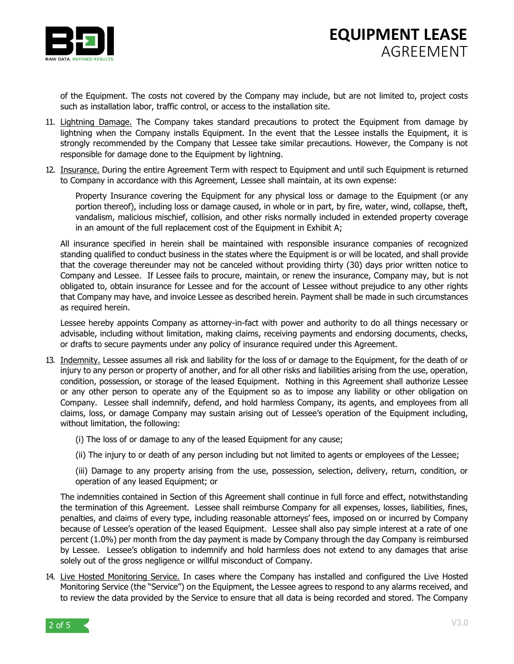

of the Equipment. The costs not covered by the Company may include, but are not limited to, project costs such as installation labor, traffic control, or access to the installation site.

- 11. Lightning Damage. The Company takes standard precautions to protect the Equipment from damage by lightning when the Company installs Equipment. In the event that the Lessee installs the Equipment, it is strongly recommended by the Company that Lessee take similar precautions. However, the Company is not responsible for damage done to the Equipment by lightning.
- 12. Insurance. During the entire Agreement Term with respect to Equipment and until such Equipment is returned to Company in accordance with this Agreement, Lessee shall maintain, at its own expense:

Property Insurance covering the Equipment for any physical loss or damage to the Equipment (or any portion thereof), including loss or damage caused, in whole or in part, by fire, water, wind, collapse, theft, vandalism, malicious mischief, collision, and other risks normally included in extended property coverage in an amount of the full replacement cost of the Equipment in Exhibit A;

All insurance specified in herein shall be maintained with responsible insurance companies of recognized standing qualified to conduct business in the states where the Equipment is or will be located, and shall provide that the coverage thereunder may not be canceled without providing thirty (30) days prior written notice to Company and Lessee. If Lessee fails to procure, maintain, or renew the insurance, Company may, but is not obligated to, obtain insurance for Lessee and for the account of Lessee without prejudice to any other rights that Company may have, and invoice Lessee as described herein. Payment shall be made in such circumstances as required herein.

Lessee hereby appoints Company as attorney-in-fact with power and authority to do all things necessary or advisable, including without limitation, making claims, receiving payments and endorsing documents, checks, or drafts to secure payments under any policy of insurance required under this Agreement.

- 13. Indemnity, Lessee assumes all risk and liability for the loss of or damage to the Equipment, for the death of or injury to any person or property of another, and for all other risks and liabilities arising from the use, operation, condition, possession, or storage of the leased Equipment. Nothing in this Agreement shall authorize Lessee or any other person to operate any of the Equipment so as to impose any liability or other obligation on Company. Lessee shall indemnify, defend, and hold harmless Company, its agents, and employees from all claims, loss, or damage Company may sustain arising out of Lessee's operation of the Equipment including, without limitation, the following:
	- (i) The loss of or damage to any of the leased Equipment for any cause;
	- (ii) The injury to or death of any person including but not limited to agents or employees of the Lessee;

(iii) Damage to any property arising from the use, possession, selection, delivery, return, condition, or operation of any leased Equipment; or

The indemnities contained in Section of this Agreement shall continue in full force and effect, notwithstanding the termination of this Agreement. Lessee shall reimburse Company for all expenses, losses, liabilities, fines, penalties, and claims of every type, including reasonable attorneys' fees, imposed on or incurred by Company because of Lessee's operation of the leased Equipment. Lessee shall also pay simple interest at a rate of one percent (1.0%) per month from the day payment is made by Company through the day Company is reimbursed by Lessee. Lessee's obligation to indemnify and hold harmless does not extend to any damages that arise solely out of the gross negligence or willful misconduct of Company.

14. Live Hosted Monitoring Service. In cases where the Company has installed and configured the Live Hosted Monitoring Service (the "Service") on the Equipment, the Lessee agrees to respond to any alarms received, and to review the data provided by the Service to ensure that all data is being recorded and stored. The Company

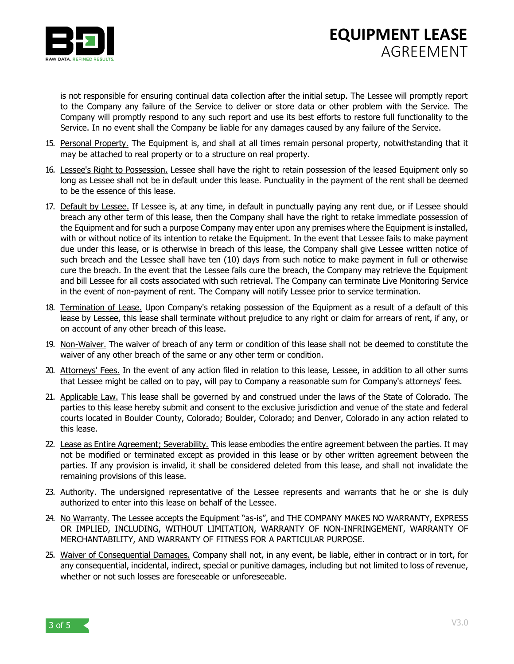

## **EQUIPMENT LEASE** AGREEMENT

is not responsible for ensuring continual data collection after the initial setup. The Lessee will promptly report to the Company any failure of the Service to deliver or store data or other problem with the Service. The Company will promptly respond to any such report and use its best efforts to restore full functionality to the Service. In no event shall the Company be liable for any damages caused by any failure of the Service.

- 15. Personal Property. The Equipment is, and shall at all times remain personal property, notwithstanding that it may be attached to real property or to a structure on real property.
- 16. Lessee's Right to Possession. Lessee shall have the right to retain possession of the leased Equipment only so long as Lessee shall not be in default under this lease. Punctuality in the payment of the rent shall be deemed to be the essence of this lease.
- 17. Default by Lessee. If Lessee is, at any time, in default in punctually paying any rent due, or if Lessee should breach any other term of this lease, then the Company shall have the right to retake immediate possession of the Equipment and for such a purpose Company may enter upon any premises where the Equipment is installed, with or without notice of its intention to retake the Equipment. In the event that Lessee fails to make payment due under this lease, or is otherwise in breach of this lease, the Company shall give Lessee written notice of such breach and the Lessee shall have ten (10) days from such notice to make payment in full or otherwise cure the breach. In the event that the Lessee fails cure the breach, the Company may retrieve the Equipment and bill Lessee for all costs associated with such retrieval. The Company can terminate Live Monitoring Service in the event of non-payment of rent. The Company will notify Lessee prior to service termination.
- 18. Termination of Lease. Upon Company's retaking possession of the Equipment as a result of a default of this lease by Lessee, this lease shall terminate without prejudice to any right or claim for arrears of rent, if any, or on account of any other breach of this lease.
- 19. Non-Waiver. The waiver of breach of any term or condition of this lease shall not be deemed to constitute the waiver of any other breach of the same or any other term or condition.
- 20. Attorneys' Fees. In the event of any action filed in relation to this lease, Lessee, in addition to all other sums that Lessee might be called on to pay, will pay to Company a reasonable sum for Company's attorneys' fees.
- 21. Applicable Law. This lease shall be governed by and construed under the laws of the State of Colorado. The parties to this lease hereby submit and consent to the exclusive jurisdiction and venue of the state and federal courts located in Boulder County, Colorado; Boulder, Colorado; and Denver, Colorado in any action related to this lease.
- 22. Lease as Entire Agreement; Severability. This lease embodies the entire agreement between the parties. It may not be modified or terminated except as provided in this lease or by other written agreement between the parties. If any provision is invalid, it shall be considered deleted from this lease, and shall not invalidate the remaining provisions of this lease.
- 23. Authority. The undersigned representative of the Lessee represents and warrants that he or she is duly authorized to enter into this lease on behalf of the Lessee.
- 24. No Warranty. The Lessee accepts the Equipment "as-is", and THE COMPANY MAKES NO WARRANTY, EXPRESS OR IMPLIED, INCLUDING, WITHOUT LIMITATION, WARRANTY OF NON-INFRINGEMENT, WARRANTY OF MERCHANTABILITY, AND WARRANTY OF FITNESS FOR A PARTICULAR PURPOSE.
- 25. Waiver of Consequential Damages. Company shall not, in any event, be liable, either in contract or in tort, for any consequential, incidental, indirect, special or punitive damages, including but not limited to loss of revenue, whether or not such losses are foreseeable or unforeseeable.

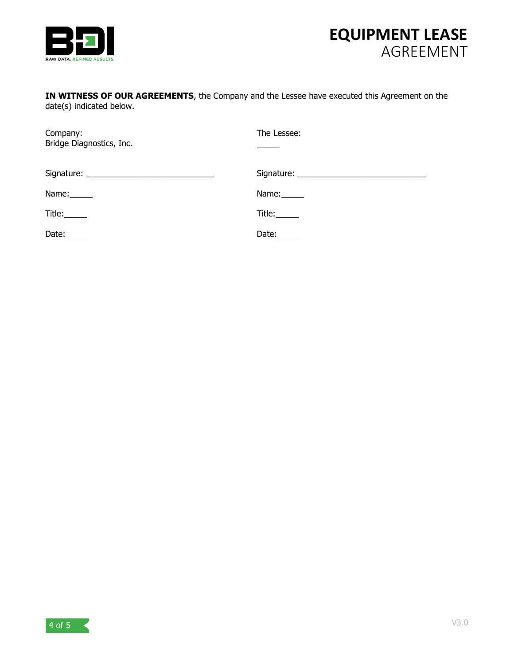



## **IN WITNESS OF OUR AGREEMENTS**, the Company and the Lessee have executed this Agreement on the date(s) indicated below.

| Company:<br>Bridge Diagnostics, Inc. | The Lessee:           |
|--------------------------------------|-----------------------|
|                                      |                       |
| Name:______                          | Name: ______          |
| Title:______                         | Title:_____           |
| Date: $\_\_$                         | Date: $\_\_\_\_\_\_\$ |